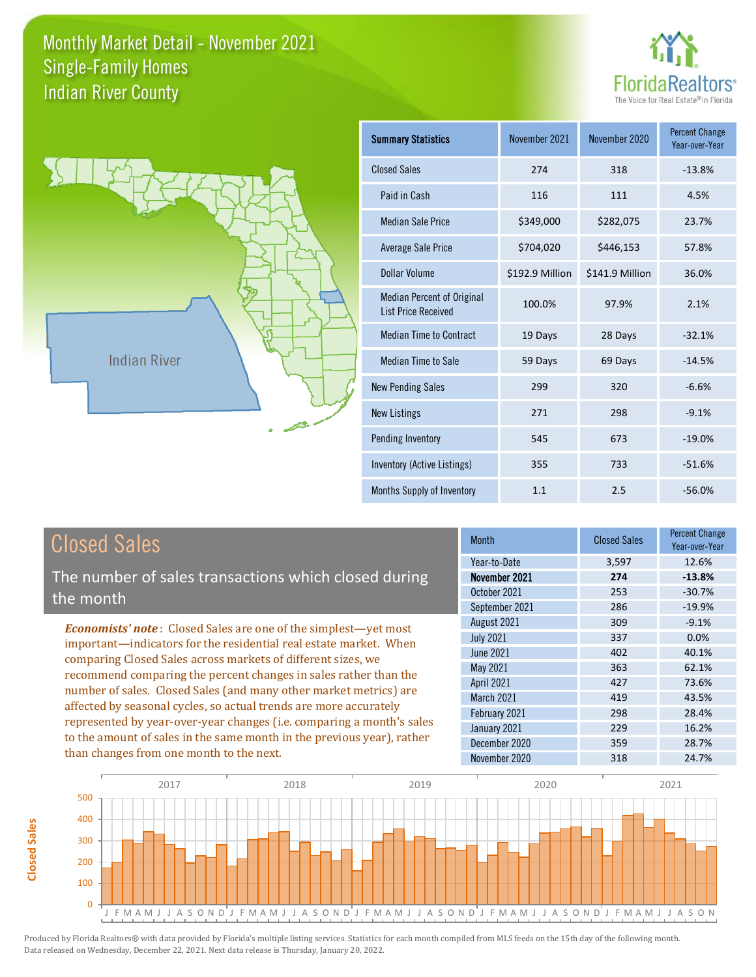



**Closed Sales**

**Closed Sales** 

| <b>Summary Statistics</b>                                       | November 2021   | November 2020   | <b>Percent Change</b><br>Year-over-Year |
|-----------------------------------------------------------------|-----------------|-----------------|-----------------------------------------|
| <b>Closed Sales</b>                                             | 274             | 318             | $-13.8%$                                |
| Paid in Cash                                                    | 116             | 111             | 4.5%                                    |
| <b>Median Sale Price</b>                                        | \$349,000       | \$282,075       | 23.7%                                   |
| Average Sale Price                                              | \$704,020       | \$446,153       | 57.8%                                   |
| Dollar Volume                                                   | \$192.9 Million | \$141.9 Million | 36.0%                                   |
| <b>Median Percent of Original</b><br><b>List Price Received</b> | 100.0%          | 97.9%           | 2.1%                                    |
| <b>Median Time to Contract</b>                                  | 19 Days         | 28 Days         | $-32.1%$                                |
| Median Time to Sale                                             | 59 Days         | 69 Days         | $-14.5%$                                |
| <b>New Pending Sales</b>                                        | 299             | 320             | $-6.6%$                                 |
| <b>New Listings</b>                                             | 271             | 298             | $-9.1%$                                 |
| Pending Inventory                                               | 545             | 673             | $-19.0%$                                |
| Inventory (Active Listings)                                     | 355             | 733             | $-51.6%$                                |
| <b>Months Supply of Inventory</b>                               | 1.1             | 2.5             | $-56.0%$                                |

| <b>Closed Sales</b>                                                                                                                                                                                             | <b>Month</b>      | <b>Closed Sales</b> | <b>Percent Change</b><br>Year-over-Year |
|-----------------------------------------------------------------------------------------------------------------------------------------------------------------------------------------------------------------|-------------------|---------------------|-----------------------------------------|
|                                                                                                                                                                                                                 | Year-to-Date      | 3,597               | 12.6%                                   |
| The number of sales transactions which closed during                                                                                                                                                            | November 2021     | 274                 | $-13.8%$                                |
| the month                                                                                                                                                                                                       | October 2021      | 253                 | $-30.7%$                                |
|                                                                                                                                                                                                                 | September 2021    | 286                 | $-19.9%$                                |
| <b>Economists' note:</b> Closed Sales are one of the simplest-yet most                                                                                                                                          | August 2021       | 309                 | $-9.1%$                                 |
| important—indicators for the residential real estate market. When                                                                                                                                               | <b>July 2021</b>  | 337                 | 0.0%                                    |
| comparing Closed Sales across markets of different sizes, we                                                                                                                                                    | June 2021         | 402                 | 40.1%                                   |
| recommend comparing the percent changes in sales rather than the                                                                                                                                                | May 2021          | 363                 | 62.1%                                   |
|                                                                                                                                                                                                                 | <b>April 2021</b> | 427                 | 73.6%                                   |
| number of sales. Closed Sales (and many other market metrics) are<br>affected by seasonal cycles, so actual trends are more accurately<br>represented by year-over-year changes (i.e. comparing a month's sales | <b>March 2021</b> | 419                 | 43.5%                                   |
|                                                                                                                                                                                                                 | February 2021     | 298                 | 28.4%                                   |
|                                                                                                                                                                                                                 | January 2021      | 229                 | 16.2%                                   |
| to the amount of sales in the same month in the previous year), rather                                                                                                                                          | December 2020     | 359                 | 28.7%                                   |
| than changes from one month to the next.                                                                                                                                                                        | November 2020     | 318                 | 24.7%                                   |

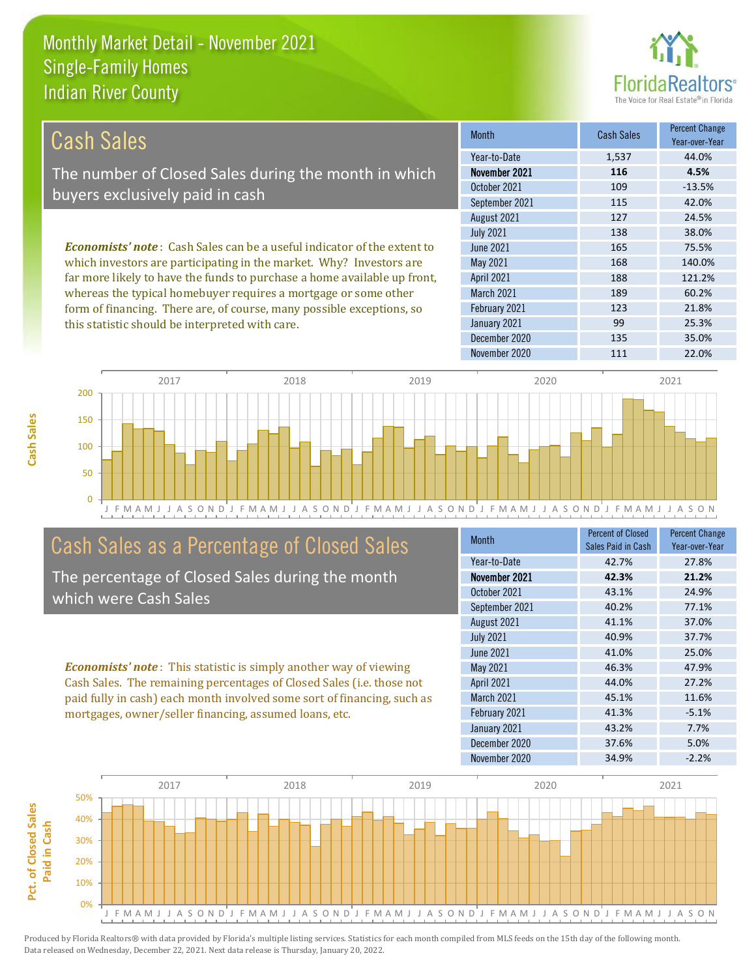this statistic should be interpreted with care.



99 25.3%

| Cash Sales                                                                     | <b>Month</b>      | <b>Cash Sales</b> | <b>Percent Change</b><br>Year-over-Year |
|--------------------------------------------------------------------------------|-------------------|-------------------|-----------------------------------------|
|                                                                                | Year-to-Date      | 1,537             | 44.0%                                   |
| The number of Closed Sales during the month in which                           | November 2021     | 116               | 4.5%                                    |
| buyers exclusively paid in cash                                                | October 2021      | 109               | $-13.5%$                                |
|                                                                                | September 2021    | 115               | 42.0%                                   |
|                                                                                | August 2021       | 127               | 24.5%                                   |
|                                                                                | <b>July 2021</b>  | 138               | 38.0%                                   |
| <b>Economists' note:</b> Cash Sales can be a useful indicator of the extent to | June 2021         | 165               | 75.5%                                   |
| which investors are participating in the market. Why? Investors are            | May 2021          | 168               | 140.0%                                  |
| far more likely to have the funds to purchase a home available up front,       | <b>April 2021</b> | 188               | 121.2%                                  |
| whereas the typical homebuyer requires a mortgage or some other                | March 2021        | 189               | 60.2%                                   |
| form of financing. There are, of course, many possible exceptions, so          | February 2021     | 123               | 21.8%                                   |



# Cash Sales as a Percentage of Closed Sales

The percentage of Closed Sales during the month which were Cash Sales

*Economists' note* : This statistic is simply another way of viewing Cash Sales. The remaining percentages of Closed Sales (i.e. those not paid fully in cash) each month involved some sort of financing, such as mortgages, owner/seller financing, assumed loans, etc.

| Month             | <b>Percent of Closed</b><br>Sales Paid in Cash | <b>Percent Change</b><br>Year-over-Year |
|-------------------|------------------------------------------------|-----------------------------------------|
| Year-to-Date      | 42.7%                                          | 27.8%                                   |
| November 2021     | 42.3%                                          | 21.2%                                   |
| October 2021      | 43.1%                                          | 24.9%                                   |
| September 2021    | 40.2%                                          | 77.1%                                   |
| August 2021       | 41.1%                                          | 37.0%                                   |
| <b>July 2021</b>  | 40.9%                                          | 37.7%                                   |
| June 2021         | 41.0%                                          | 25.0%                                   |
| May 2021          | 46.3%                                          | 47.9%                                   |
| <b>April 2021</b> | 44.0%                                          | 27.2%                                   |
| <b>March 2021</b> | 45.1%                                          | 11.6%                                   |
| February 2021     | 41.3%                                          | $-5.1%$                                 |
| January 2021      | 43.2%                                          | 7.7%                                    |
| December 2020     | 37.6%                                          | 5.0%                                    |
| November 2020     | 34.9%                                          | $-2.2%$                                 |

December 2020 135 135 35.0%

January 2021

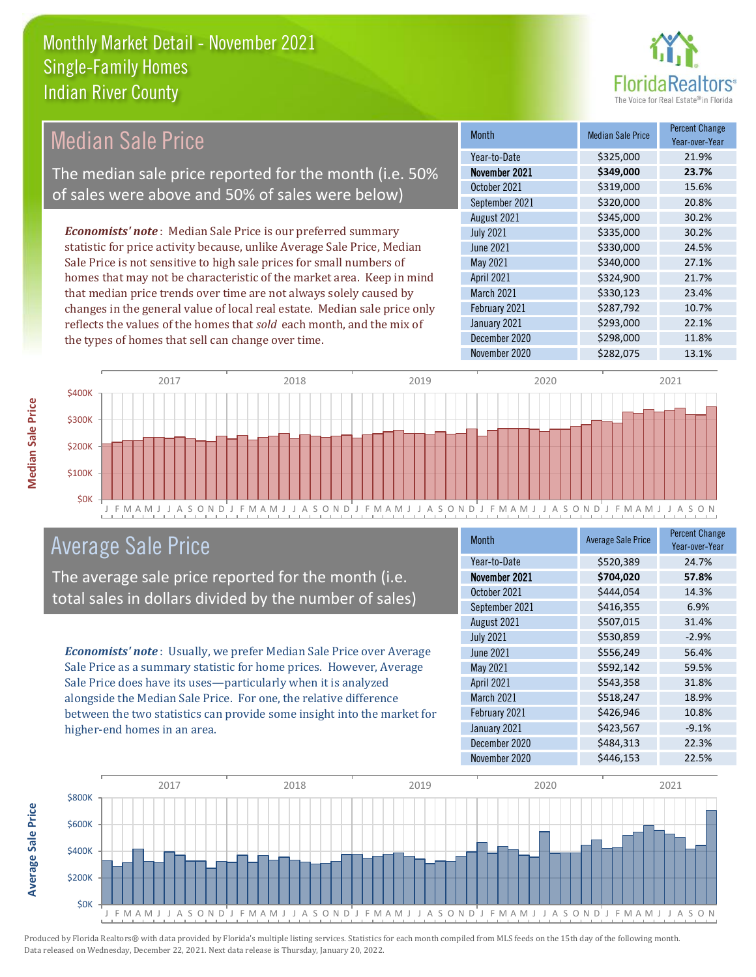

## Median Sale Price

The median sale price reported for the month (i.e. 50% of sales were above and 50% of sales were below)

*Economists' note* : Median Sale Price is our preferred summary statistic for price activity because, unlike Average Sale Price, Median Sale Price is not sensitive to high sale prices for small numbers of homes that may not be characteristic of the market area. Keep in mind that median price trends over time are not always solely caused by changes in the general value of local real estate. Median sale price only reflects the values of the homes that *sold* each month, and the mix of the types of homes that sell can change over time.

| <b>Month</b>     | <b>Median Sale Price</b> | <b>Percent Change</b><br>Year-over-Year |
|------------------|--------------------------|-----------------------------------------|
| Year-to-Date     | \$325,000                | 21.9%                                   |
| November 2021    | \$349,000                | 23.7%                                   |
| October 2021     | \$319,000                | 15.6%                                   |
| September 2021   | \$320,000                | 20.8%                                   |
| August 2021      | \$345,000                | 30.2%                                   |
| <b>July 2021</b> | \$335,000                | 30.2%                                   |
| <b>June 2021</b> | \$330,000                | 24.5%                                   |
| May 2021         | \$340,000                | 27.1%                                   |
| April 2021       | \$324,900                | 21.7%                                   |
| March 2021       | \$330,123                | 23.4%                                   |
| February 2021    | \$287,792                | 10.7%                                   |
| January 2021     | \$293,000                | 22.1%                                   |
| December 2020    | \$298,000                | 11.8%                                   |
| November 2020    | \$282,075                | 13.1%                                   |



### Average Sale Price

The average sale price reported for the month (i.e. total sales in dollars divided by the number of sales)

*Economists' note* : Usually, we prefer Median Sale Price over Average Sale Price as a summary statistic for home prices. However, Average Sale Price does have its uses—particularly when it is analyzed alongside the Median Sale Price. For one, the relative difference between the two statistics can provide some insight into the market for higher-end homes in an area.

| <b>Month</b>      | <b>Average Sale Price</b> | <b>Percent Change</b><br>Year-over-Year |
|-------------------|---------------------------|-----------------------------------------|
| Year-to-Date      | \$520,389                 | 24.7%                                   |
| November 2021     | \$704,020                 | 57.8%                                   |
| October 2021      | \$444,054                 | 14.3%                                   |
| September 2021    | \$416,355                 | 6.9%                                    |
| August 2021       | \$507,015                 | 31.4%                                   |
| <b>July 2021</b>  | \$530,859                 | $-2.9%$                                 |
| <b>June 2021</b>  | \$556,249                 | 56.4%                                   |
| May 2021          | \$592,142                 | 59.5%                                   |
| April 2021        | \$543,358                 | 31.8%                                   |
| <b>March 2021</b> | \$518,247                 | 18.9%                                   |
| February 2021     | \$426,946                 | 10.8%                                   |
| January 2021      | \$423,567                 | $-9.1%$                                 |
| December 2020     | \$484,313                 | 22.3%                                   |
| November 2020     | \$446,153                 | 22.5%                                   |



Produced by Florida Realtors® with data provided by Florida's multiple listing services. Statistics for each month compiled from MLS feeds on the 15th day of the following month. Data released on Wednesday, December 22, 2021. Next data release is Thursday, January 20, 2022.

**Average Sale Price**

Average Sale Price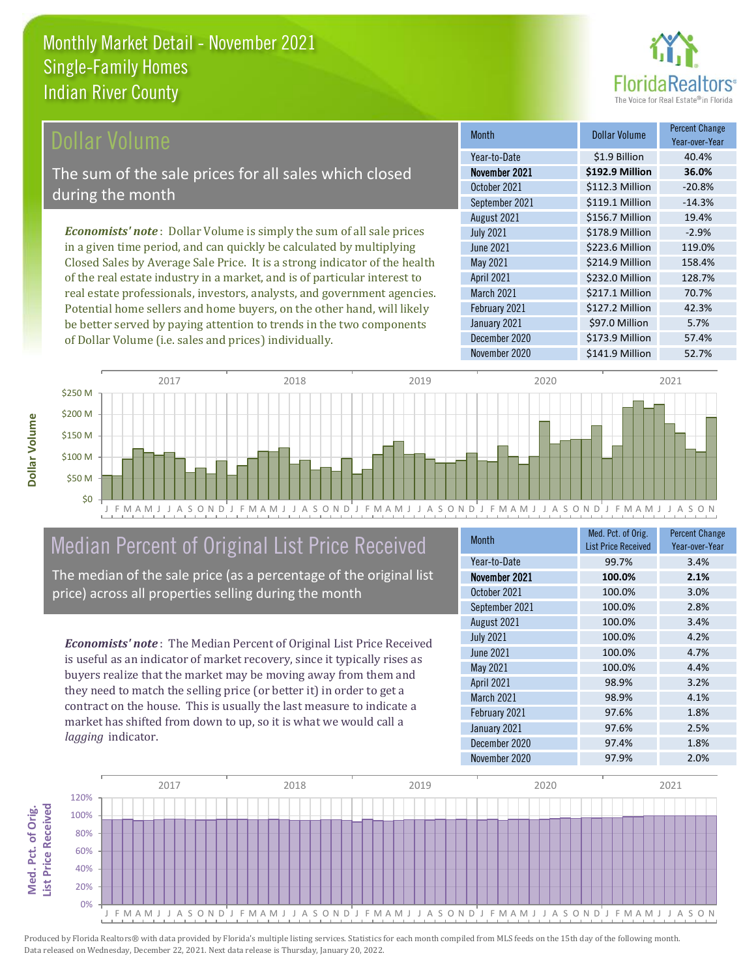

#### **Ollar Volume**

The sum of the sale prices for all sales which closed during the month

*Economists' note* : Dollar Volume is simply the sum of all sale prices in a given time period, and can quickly be calculated by multiplying Closed Sales by Average Sale Price. It is a strong indicator of the health of the real estate industry in a market, and is of particular interest to real estate professionals, investors, analysts, and government agencies. Potential home sellers and home buyers, on the other hand, will likely be better served by paying attention to trends in the two components of Dollar Volume (i.e. sales and prices) individually.

| <b>Month</b>      | Dollar Volume   | <b>Percent Change</b><br>Year-over-Year |
|-------------------|-----------------|-----------------------------------------|
| Year-to-Date      | \$1.9 Billion   | 40.4%                                   |
| November 2021     | \$192.9 Million | 36.0%                                   |
| October 2021      | \$112.3 Million | $-20.8%$                                |
| September 2021    | \$119.1 Million | $-14.3%$                                |
| August 2021       | \$156.7 Million | 19.4%                                   |
| <b>July 2021</b>  | \$178.9 Million | $-2.9%$                                 |
| <b>June 2021</b>  | \$223.6 Million | 119.0%                                  |
| May 2021          | \$214.9 Million | 158.4%                                  |
| April 2021        | \$232.0 Million | 128.7%                                  |
| <b>March 2021</b> | \$217.1 Million | 70.7%                                   |
| February 2021     | \$127.2 Million | 42.3%                                   |
| January 2021      | \$97.0 Million  | 5.7%                                    |
| December 2020     | \$173.9 Million | 57.4%                                   |
| November 2020     | \$141.9 Million | 52.7%                                   |



# Median Percent of Original List Price Received

The median of the sale price (as a percentage of the original list price) across all properties selling during the month

*Economists' note* : The Median Percent of Original List Price Received is useful as an indicator of market recovery, since it typically rises as buyers realize that the market may be moving away from them and they need to match the selling price (or better it) in order to get a contract on the house. This is usually the last measure to indicate a market has shifted from down to up, so it is what we would call a *lagging* indicator.

| <b>Month</b>     | Med. Pct. of Orig.<br><b>List Price Received</b> | <b>Percent Change</b><br>Year-over-Year |
|------------------|--------------------------------------------------|-----------------------------------------|
| Year-to-Date     | 99.7%                                            | 3.4%                                    |
| November 2021    | 100.0%                                           | 2.1%                                    |
| October 2021     | 100.0%                                           | 3.0%                                    |
| September 2021   | 100.0%                                           | 2.8%                                    |
| August 2021      | 100.0%                                           | 3.4%                                    |
| <b>July 2021</b> | 100.0%                                           | 4.2%                                    |
| <b>June 2021</b> | 100.0%                                           | 4.7%                                    |
| May 2021         | 100.0%                                           | 4.4%                                    |
| April 2021       | 98.9%                                            | 3.2%                                    |
| March 2021       | 98.9%                                            | 4.1%                                    |
| February 2021    | 97.6%                                            | 1.8%                                    |
| January 2021     | 97.6%                                            | 2.5%                                    |
| December 2020    | 97.4%                                            | 1.8%                                    |
| November 2020    | 97.9%                                            | 2.0%                                    |

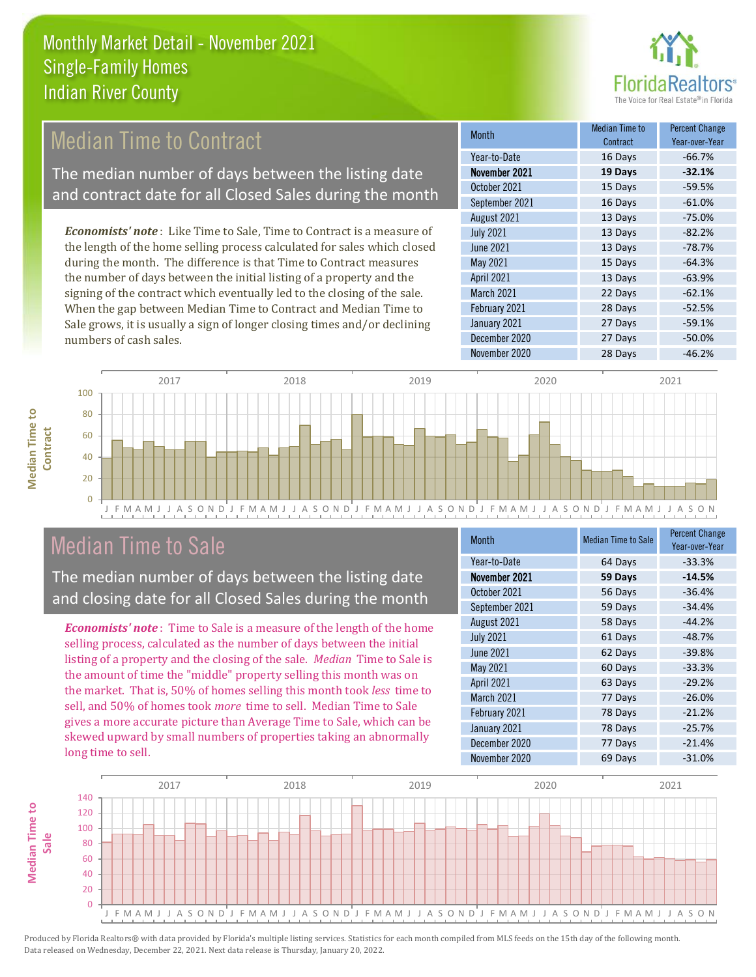

# **Median Time to Contract**

The median number of days between the listing date and contract date for all Closed Sales during the month

*Economists' note* : Like Time to Sale, Time to Contract is a measure of the length of the home selling process calculated for sales which closed during the month. The difference is that Time to Contract measures the number of days between the initial listing of a property and the signing of the contract which eventually led to the closing of the sale. When the gap between Median Time to Contract and Median Time to Sale grows, it is usually a sign of longer closing times and/or declining numbers of cash sales.

| <b>Month</b>     | Median Time to<br>Contract | <b>Percent Change</b><br>Year-over-Year |
|------------------|----------------------------|-----------------------------------------|
| Year-to-Date     | 16 Days                    | $-66.7%$                                |
| November 2021    | 19 Days                    | $-32.1%$                                |
| October 2021     | 15 Days                    | $-59.5%$                                |
| September 2021   | 16 Days                    | $-61.0%$                                |
| August 2021      | 13 Days                    | $-75.0%$                                |
| <b>July 2021</b> | 13 Days                    | $-82.2%$                                |
| <b>June 2021</b> | 13 Days                    | $-78.7%$                                |
| May 2021         | 15 Days                    | $-64.3%$                                |
| April 2021       | 13 Days                    | $-63.9%$                                |
| March 2021       | 22 Days                    | $-62.1%$                                |
| February 2021    | 28 Days                    | $-52.5%$                                |
| January 2021     | 27 Days                    | $-59.1%$                                |
| December 2020    | 27 Days                    | $-50.0%$                                |
| November 2020    | 28 Days                    | $-46.2%$                                |



## Median Time to Sale

**Median Time to** 

**Median Time to** 

The median number of days between the listing date and closing date for all Closed Sales during the month

*Economists' note* : Time to Sale is a measure of the length of the home selling process, calculated as the number of days between the initial listing of a property and the closing of the sale. *Median* Time to Sale is the amount of time the "middle" property selling this month was on the market. That is, 50% of homes selling this month took *less* time to sell, and 50% of homes took *more* time to sell. Median Time to Sale gives a more accurate picture than Average Time to Sale, which can be skewed upward by small numbers of properties taking an abnormally long time to sell.

| <b>Month</b>      | <b>Median Time to Sale</b> | <b>Percent Change</b><br>Year-over-Year |
|-------------------|----------------------------|-----------------------------------------|
| Year-to-Date      | 64 Days                    | $-33.3%$                                |
| November 2021     | 59 Days                    | $-14.5%$                                |
| October 2021      | 56 Days                    | $-36.4%$                                |
| September 2021    | 59 Days                    | $-34.4%$                                |
| August 2021       | 58 Days                    | $-44.2%$                                |
| <b>July 2021</b>  | 61 Days                    | $-48.7%$                                |
| <b>June 2021</b>  | 62 Days                    | $-39.8%$                                |
| May 2021          | 60 Days                    | $-33.3%$                                |
| April 2021        | 63 Days                    | $-29.2%$                                |
| <b>March 2021</b> | 77 Days                    | $-26.0%$                                |
| February 2021     | 78 Days                    | $-21.2%$                                |
| January 2021      | 78 Days                    | $-25.7%$                                |
| December 2020     | 77 Days                    | $-21.4%$                                |
| November 2020     | 69 Days                    | $-31.0%$                                |

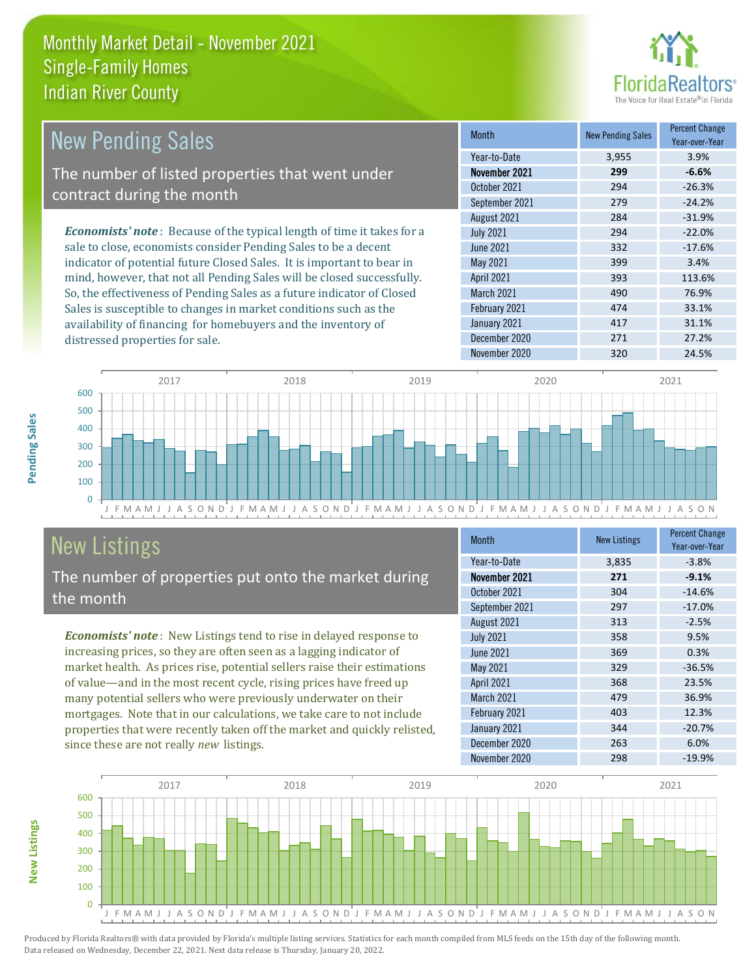

| <b>New Pending Sales</b>                                                      | <b>Month</b>      | <b>New Pending Sales</b> | <b>Percent Change</b><br>Year-over-Year |
|-------------------------------------------------------------------------------|-------------------|--------------------------|-----------------------------------------|
|                                                                               | Year-to-Date      | 3,955                    | 3.9%                                    |
| The number of listed properties that went under                               | November 2021     | 299                      | $-6.6%$                                 |
| contract during the month                                                     | October 2021      | 294                      | $-26.3%$                                |
|                                                                               | September 2021    | 279                      | $-24.2%$                                |
|                                                                               | August 2021       | 284                      | $-31.9%$                                |
| <b>Economists' note:</b> Because of the typical length of time it takes for a | <b>July 2021</b>  | 294                      | $-22.0%$                                |
| sale to close, economists consider Pending Sales to be a decent               | June 2021         | 332                      | $-17.6%$                                |
| indicator of potential future Closed Sales. It is important to bear in        | May 2021          | 399                      | 3.4%                                    |
| mind, however, that not all Pending Sales will be closed successfully.        | <b>April 2021</b> | 393                      | 113.6%                                  |
| So, the effectiveness of Pending Sales as a future indicator of Closed        | <b>March 2021</b> | 490                      | 76.9%                                   |
| Sales is susceptible to changes in market conditions such as the              | February 2021     | 474                      | 33.1%                                   |



# New Listings

distressed properties for sale.

The number of properties put onto the market during the month

availability of financing for homebuyers and the inventory of

*Economists' note* : New Listings tend to rise in delayed response to increasing prices, so they are often seen as a lagging indicator of market health. As prices rise, potential sellers raise their estimations of value—and in the most recent cycle, rising prices have freed up many potential sellers who were previously underwater on their mortgages. Note that in our calculations, we take care to not include properties that were recently taken off the market and quickly relisted, since these are not really *new* listings.

| <b>Month</b>      | <b>New Listings</b> | <b>Percent Change</b><br>Year-over-Year |
|-------------------|---------------------|-----------------------------------------|
| Year-to-Date      | 3,835               | $-3.8%$                                 |
| November 2021     | 271                 | $-9.1%$                                 |
| October 2021      | 304                 | $-14.6%$                                |
| September 2021    | 297                 | $-17.0%$                                |
| August 2021       | 313                 | $-2.5%$                                 |
| <b>July 2021</b>  | 358                 | 9.5%                                    |
| June 2021         | 369                 | 0.3%                                    |
| May 2021          | 329                 | $-36.5%$                                |
| April 2021        | 368                 | 23.5%                                   |
| <b>March 2021</b> | 479                 | 36.9%                                   |
| February 2021     | 403                 | 12.3%                                   |
| January 2021      | 344                 | $-20.7%$                                |
| December 2020     | 263                 | 6.0%                                    |
| November 2020     | 298                 | $-19.9%$                                |

January 2021 **417** 31.1% December 2020 271 27.2%



**Pending Sales**

Pending Sales

**New Listings**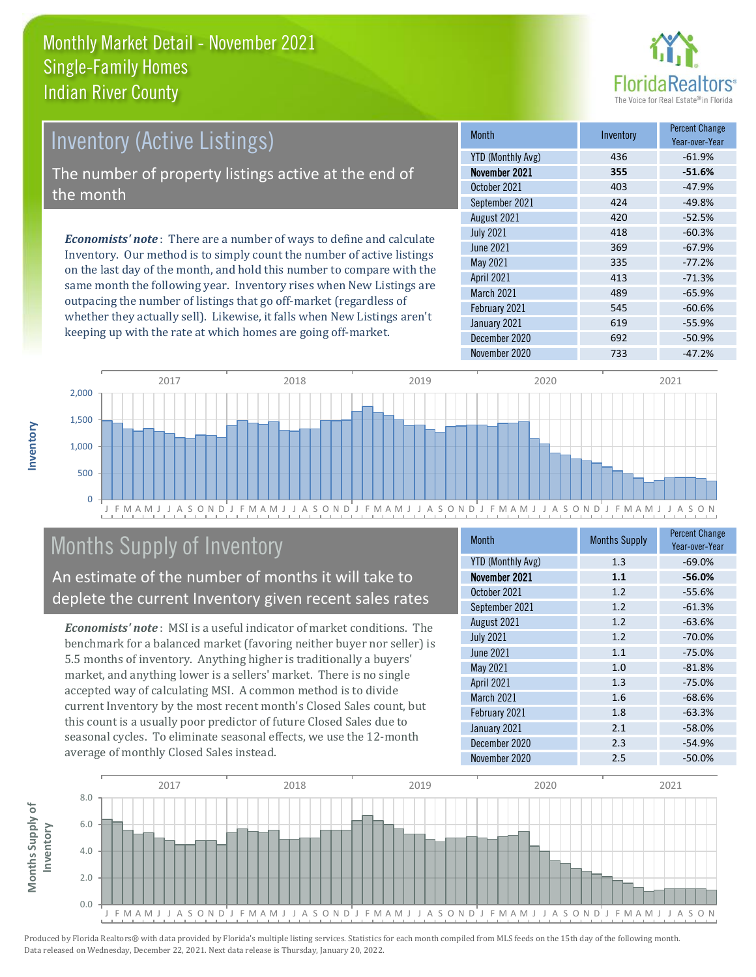

# Inventory (Active Listings)

The number of property listings active at the end of the month

*Economists' note* : There are a number of ways to define and calculate Inventory. Our method is to simply count the number of active listings on the last day of the month, and hold this number to compare with the same month the following year. Inventory rises when New Listings are outpacing the number of listings that go off-market (regardless of whether they actually sell). Likewise, it falls when New Listings aren't keeping up with the rate at which homes are going off-market.

| <b>Month</b>             | Inventory | <b>Percent Change</b><br>Year-over-Year |
|--------------------------|-----------|-----------------------------------------|
| <b>YTD (Monthly Avg)</b> | 436       | $-61.9%$                                |
| November 2021            | 355       | $-51.6%$                                |
| October 2021             | 403       | $-47.9%$                                |
| September 2021           | 424       | $-49.8%$                                |
| August 2021              | 420       | $-52.5%$                                |
| <b>July 2021</b>         | 418       | $-60.3%$                                |
| <b>June 2021</b>         | 369       | $-67.9%$                                |
| May 2021                 | 335       | $-77.2%$                                |
| April 2021               | 413       | $-71.3%$                                |
| <b>March 2021</b>        | 489       | $-65.9%$                                |
| February 2021            | 545       | $-60.6%$                                |
| January 2021             | 619       | $-55.9%$                                |
| December 2020            | 692       | $-50.9%$                                |
| November 2020            | 733       | $-47.2%$                                |



# Months Supply of Inventory

An estimate of the number of months it will take to deplete the current Inventory given recent sales rates

*Economists' note* : MSI is a useful indicator of market conditions. The benchmark for a balanced market (favoring neither buyer nor seller) is 5.5 months of inventory. Anything higher is traditionally a buyers' market, and anything lower is a sellers' market. There is no single accepted way of calculating MSI. A common method is to divide current Inventory by the most recent month's Closed Sales count, but this count is a usually poor predictor of future Closed Sales due to seasonal cycles. To eliminate seasonal effects, we use the 12-month average of monthly Closed Sales instead.

| <b>Month</b>             | <b>Months Supply</b> | <b>Percent Change</b><br>Year-over-Year |
|--------------------------|----------------------|-----------------------------------------|
| <b>YTD (Monthly Avg)</b> | 1.3                  | $-69.0%$                                |
| November 2021            | 1.1                  | $-56.0%$                                |
| October 2021             | 1.2                  | $-55.6%$                                |
| September 2021           | 1.2                  | $-61.3%$                                |
| August 2021              | 1.2                  | $-63.6%$                                |
| <b>July 2021</b>         | 1.2                  | $-70.0%$                                |
| <b>June 2021</b>         | 1.1                  | $-75.0%$                                |
| May 2021                 | 1.0                  | $-81.8%$                                |
| April 2021               | 1.3                  | $-75.0%$                                |
| <b>March 2021</b>        | 1.6                  | $-68.6%$                                |
| February 2021            | 1.8                  | $-63.3%$                                |
| January 2021             | 2.1                  | $-58.0%$                                |
| December 2020            | 2.3                  | $-54.9%$                                |
| November 2020            | 2.5                  | $-50.0%$                                |

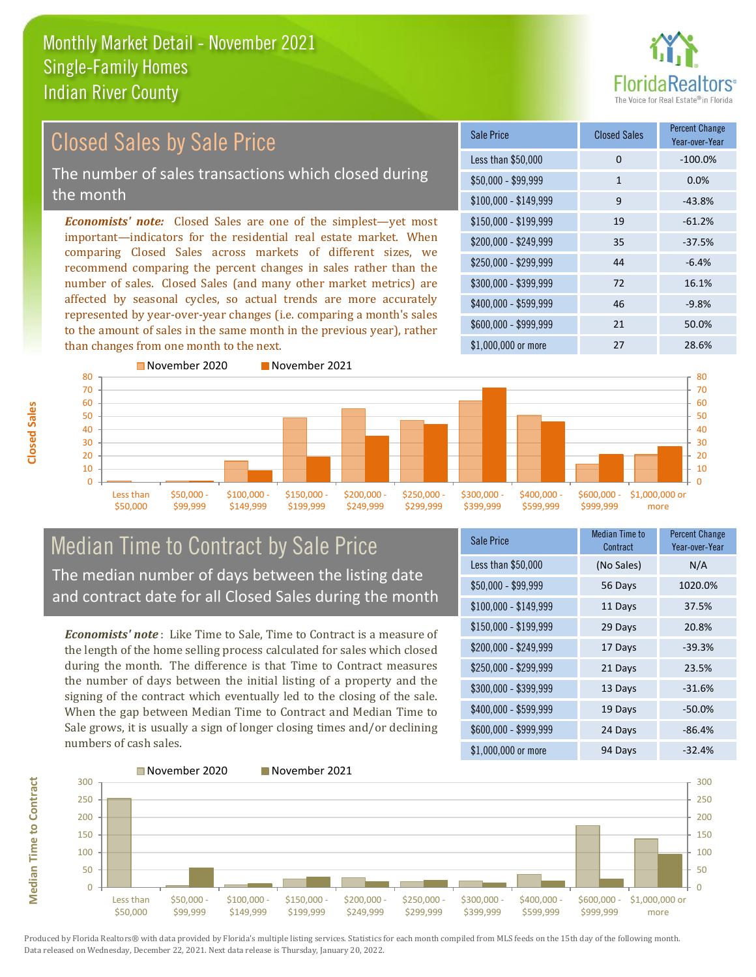

#### $$100,000 - $149,999$  9  $-43.8\%$ Sale Price Closed Sales Percent Change Year-over-Year Less than \$50,000 0 0 -100.0%  $$50,000 - $99,999$  1 0.0% \$150,000 - \$199,999 19 -61.2% \$200,000 - \$249,999 35 -37.5%  $$400,000 - $599,999$  46 -9.8% \$600,000 - \$999,999 21 50.0% *Economists' note:* Closed Sales are one of the simplest—yet most important—indicators for the residential real estate market. When comparing Closed Sales across markets of different sizes, we recommend comparing the percent changes in sales rather than the number of sales. Closed Sales (and many other market metrics) are affected by seasonal cycles, so actual trends are more accurately represented by year-over-year changes (i.e. comparing a month's sales to the amount of sales in the same month in the previous year), rather than changes from one month to the next. \$1,000,000 or more 27 28.6%  $$250,000 - $299,999$  44 -6.4% \$300,000 - \$399,999 72 16.1% 70 80 November 2020 November 2021 60 70 80 Closed Sales by Sale Price The number of sales transactions which closed during the month



### Median Time to Contract by Sale Price The median number of days between the listing date and contract date for all Closed Sales during the month

*Economists' note* : Like Time to Sale, Time to Contract is a measure of the length of the home selling process calculated for sales which closed during the month. The difference is that Time to Contract measures the number of days between the initial listing of a property and the signing of the contract which eventually led to the closing of the sale. When the gap between Median Time to Contract and Median Time to Sale grows, it is usually a sign of longer closing times and/or declining numbers of cash sales.

| Sale Price            | <b>Median Time to</b><br>Contract | <b>Percent Change</b><br>Year-over-Year |
|-----------------------|-----------------------------------|-----------------------------------------|
| Less than \$50,000    | (No Sales)                        | N/A                                     |
| $$50,000 - $99,999$   | 56 Days                           | 1020.0%                                 |
| $$100,000 - $149,999$ | 11 Days                           | 37.5%                                   |
| \$150,000 - \$199,999 | 29 Days                           | 20.8%                                   |
| \$200,000 - \$249,999 | 17 Days                           | $-39.3%$                                |
| \$250,000 - \$299,999 | 21 Days                           | 23.5%                                   |
| \$300,000 - \$399,999 | 13 Days                           | $-31.6%$                                |
| \$400,000 - \$599,999 | 19 Days                           | $-50.0%$                                |
| \$600,000 - \$999,999 | 24 Days                           | $-86.4%$                                |
| \$1,000,000 or more   | 94 Days                           | $-32.4%$                                |



Produced by Florida Realtors® with data provided by Florida's multiple listing services. Statistics for each month compiled from MLS feeds on the 15th day of the following month. Data released on Wednesday, December 22, 2021. Next data release is Thursday, January 20, 2022.

**Median Time to Contract**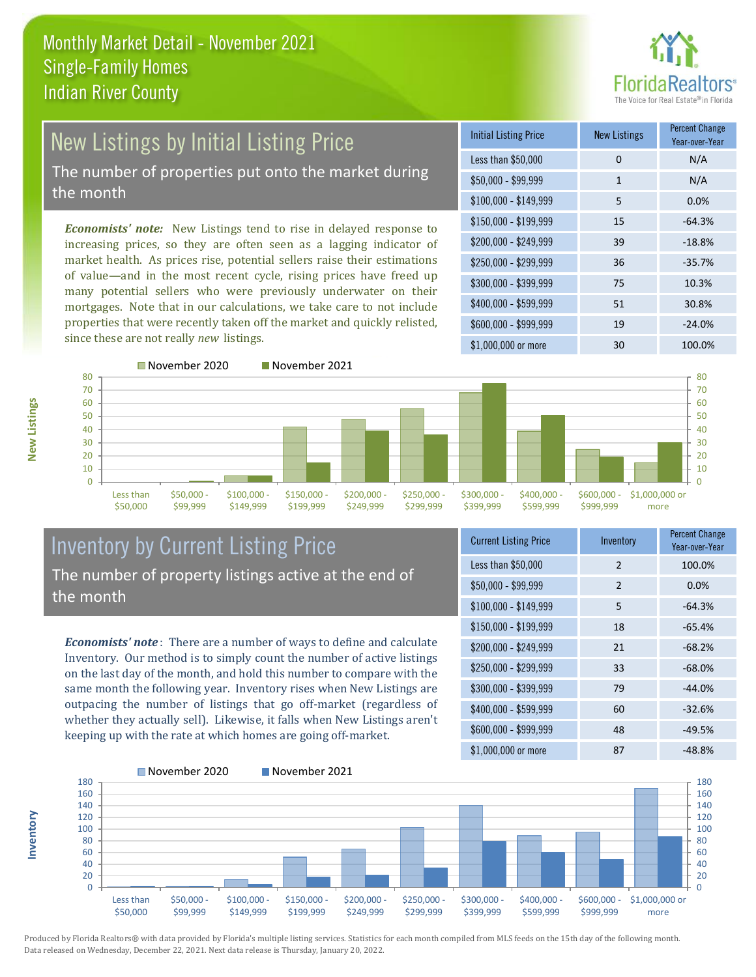

# New Listings by Initial Listing Price The number of properties put onto the market during

the month

*Economists' note:* New Listings tend to rise in delayed response to increasing prices, so they are often seen as a lagging indicator of market health. As prices rise, potential sellers raise their estimations of value—and in the most recent cycle, rising prices have freed up many potential sellers who were previously underwater on their mortgages. Note that in our calculations, we take care to not include properties that were recently taken off the market and quickly relisted, since these are not really *new* listings.

| <b>Initial Listing Price</b> | New Listings | <b>Percent Change</b><br>Year-over-Year |
|------------------------------|--------------|-----------------------------------------|
| Less than \$50,000           | 0            | N/A                                     |
| $$50,000 - $99,999$          | 1            | N/A                                     |
| $$100,000 - $149,999$        | 5            | 0.0%                                    |
| $$150,000 - $199,999$        | 15           | $-64.3%$                                |
| \$200,000 - \$249,999        | 39           | $-18.8%$                                |
| \$250,000 - \$299,999        | 36           | $-35.7%$                                |
| \$300,000 - \$399,999        | 75           | 10.3%                                   |
| \$400,000 - \$599,999        | 51           | 30.8%                                   |
| \$600,000 - \$999,999        | 19           | $-24.0%$                                |
| \$1,000,000 or more          | 30           | 100.0%                                  |



#### Inventory by Current Listing Price The number of property listings active at the end of the month

*Economists' note* : There are a number of ways to define and calculate Inventory. Our method is to simply count the number of active listings on the last day of the month, and hold this number to compare with the same month the following year. Inventory rises when New Listings are outpacing the number of listings that go off-market (regardless of whether they actually sell). Likewise, it falls when New Listings aren't keeping up with the rate at which homes are going off-market.

| <b>Current Listing Price</b> | Inventory     | <b>Percent Change</b><br>Year-over-Year |
|------------------------------|---------------|-----------------------------------------|
| Less than \$50,000           | $\mathcal{P}$ | 100.0%                                  |
| $$50,000 - $99,999$          | 2             | 0.0%                                    |
| $$100,000 - $149,999$        | 5             | $-64.3%$                                |
| $$150,000 - $199,999$        | 18            | $-65.4%$                                |
| \$200,000 - \$249,999        | 21            | $-68.2%$                                |
| \$250,000 - \$299,999        | 33            | $-68.0%$                                |
| \$300,000 - \$399,999        | 79            | $-44.0%$                                |
| \$400,000 - \$599,999        | 60            | $-32.6%$                                |
| \$600,000 - \$999,999        | 48            | $-49.5%$                                |
| \$1,000,000 or more          | 87            | $-48.8%$                                |



Produced by Florida Realtors® with data provided by Florida's multiple listing services. Statistics for each month compiled from MLS feeds on the 15th day of the following month. Data released on Wednesday, December 22, 2021. Next data release is Thursday, January 20, 2022.

**Inventory**